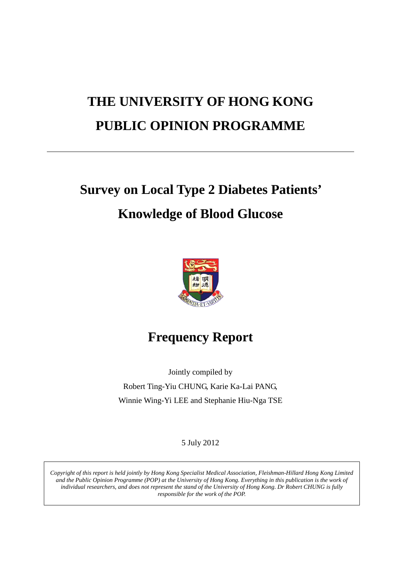# **THE UNIVERSITY OF HONG KONG PUBLIC OPINION PROGRAMME**

# **Survey on Local Type 2 Diabetes Patients' Knowledge of Blood Glucose**



# **Frequency Report**

Jointly compiled by Robert Ting-Yiu CHUNG, Karie Ka-Lai PANG, Winnie Wing-Yi LEE and Stephanie Hiu-Nga TSE

5 July 2012

*Copyright of this report is held jointly by Hong Kong Specialist Medical Association, Fleishman-Hillard Hong Kong Limited and the Public Opinion Programme (POP) at the University of Hong Kong. Everything in this publication is the work of individual researchers, and does not represent the stand of the University of Hong Kong. Dr Robert CHUNG is fully responsible for the work of the POP.*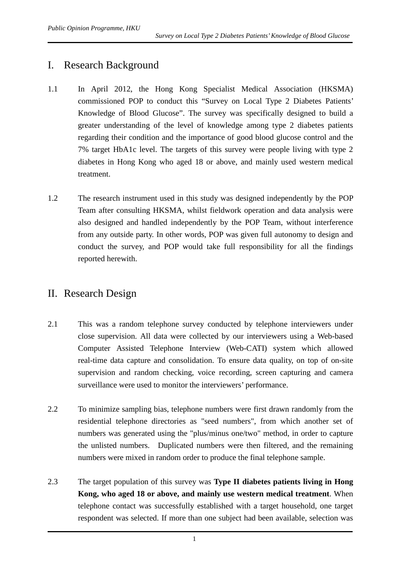## I. Research Background

- 1.1 In April 2012, the Hong Kong Specialist Medical Association (HKSMA) commissioned POP to conduct this "Survey on Local Type 2 Diabetes Patients' Knowledge of Blood Glucose". The survey was specifically designed to build a greater understanding of the level of knowledge among type 2 diabetes patients regarding their condition and the importance of good blood glucose control and the 7% target HbA1c level. The targets of this survey were people living with type 2 diabetes in Hong Kong who aged 18 or above, and mainly used western medical treatment.
- 1.2 The research instrument used in this study was designed independently by the POP Team after consulting HKSMA, whilst fieldwork operation and data analysis were also designed and handled independently by the POP Team, without interference from any outside party. In other words, POP was given full autonomy to design and conduct the survey, and POP would take full responsibility for all the findings reported herewith.

## II. Research Design

- 2.1 This was a random telephone survey conducted by telephone interviewers under close supervision. All data were collected by our interviewers using a Web-based Computer Assisted Telephone Interview (Web-CATI) system which allowed real-time data capture and consolidation. To ensure data quality, on top of on-site supervision and random checking, voice recording, screen capturing and camera surveillance were used to monitor the interviewers' performance.
- 2.2 To minimize sampling bias, telephone numbers were first drawn randomly from the residential telephone directories as "seed numbers", from which another set of numbers was generated using the "plus/minus one/two" method, in order to capture the unlisted numbers. Duplicated numbers were then filtered, and the remaining numbers were mixed in random order to produce the final telephone sample.
- 2.3 The target population of this survey was **Type II diabetes patients living in Hong Kong, who aged 18 or above, and mainly use western medical treatment**. When telephone contact was successfully established with a target household, one target respondent was selected. If more than one subject had been available, selection was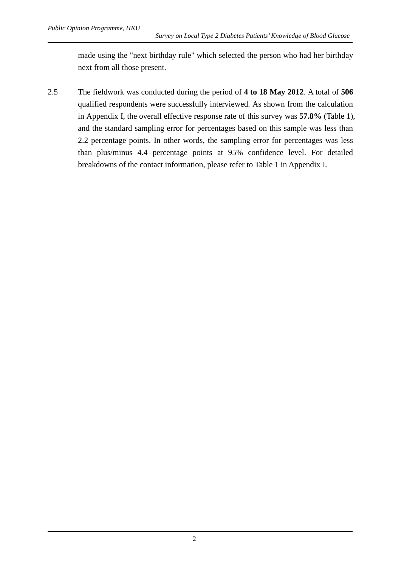made using the "next birthday rule" which selected the person who had her birthday next from all those present.

2.5 The fieldwork was conducted during the period of **4 to 18 May 2012**. A total of **506** qualified respondents were successfully interviewed. As shown from the calculation in Appendix I, the overall effective response rate of this survey was **57.8%** (Table 1), and the standard sampling error for percentages based on this sample was less than 2.2 percentage points. In other words, the sampling error for percentages was less than plus/minus 4.4 percentage points at 95% confidence level. For detailed breakdowns of the contact information, please refer to Table 1 in Appendix I.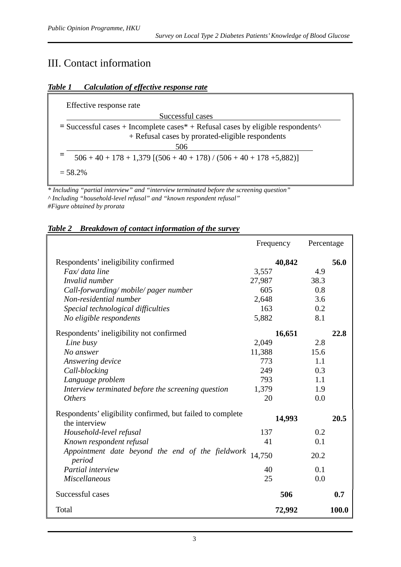# III. Contact information

#### *Table 1 Calculation of effective response rate*

| Successful cases                                                                                                   |
|--------------------------------------------------------------------------------------------------------------------|
| $=$ Successful cases + Incomplete cases $*$ + Refusal cases by eligible respondents <sup><math>\wedge</math></sup> |
| + Refusal cases by prorated-eligible respondents                                                                   |
| 506                                                                                                                |
| $506 + 40 + 178 + 1,379$ $[(506 + 40 + 178) / (506 + 40 + 178 + 5,882)]$                                           |
|                                                                                                                    |

*\* Including "partial interview" and "interview terminated before the screening question" ^ Including "household-level refusal" and "known respondent refusal" #Figure obtained by prorata*

#### *Table 2 Breakdown of contact information of the survey*

|                                                                   | Frequency |        | Percentage |       |
|-------------------------------------------------------------------|-----------|--------|------------|-------|
| Respondents' ineligibility confirmed                              |           | 40,842 |            | 56.0  |
| Fax/ data line                                                    | 3,557     |        | 4.9        |       |
| Invalid number                                                    | 27,987    |        | 38.3       |       |
| Call-forwarding/mobile/pager number                               | 605       |        | 0.8        |       |
| Non-residential number                                            | 2,648     |        | 3.6        |       |
| Special technological difficulties                                | 163       |        | 0.2        |       |
| No eligible respondents                                           | 5,882     |        | 8.1        |       |
| Respondents' ineligibility not confirmed                          |           | 16,651 |            | 22.8  |
| Line busy                                                         | 2,049     |        | 2.8        |       |
| No answer                                                         | 11,388    |        | 15.6       |       |
| Answering device                                                  | 773       |        | 1.1        |       |
| Call-blocking                                                     | 249       |        | 0.3        |       |
| Language problem                                                  | 793       |        | 1.1        |       |
| Interview terminated before the screening question                | 1,379     |        | 1.9        |       |
| <b>Others</b>                                                     | 20        |        | 0.0        |       |
| Respondents' eligibility confirmed, but failed to complete        |           | 14,993 |            | 20.5  |
| the interview                                                     |           |        |            |       |
| Household-level refusal                                           | 137       |        | 0.2        |       |
| Known respondent refusal                                          | 41        |        | 0.1        |       |
| Appointment date beyond the end of the fieldwork 14,750<br>period |           |        | 20.2       |       |
| Partial interview                                                 | 40        |        | 0.1        |       |
| <b>Miscellaneous</b>                                              | 25        |        | 0.0        |       |
| Successful cases                                                  |           | 506    |            | 0.7   |
| Total                                                             |           | 72,992 |            | 100.0 |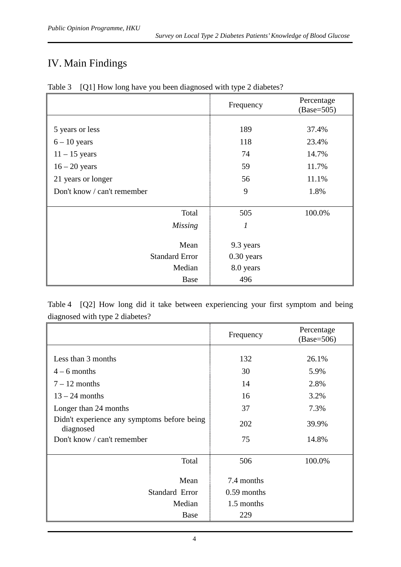## IV. Main Findings

|                             | Frequency  | Percentage<br>$(Base=505)$ |
|-----------------------------|------------|----------------------------|
|                             |            |                            |
| 5 years or less             | 189        | 37.4%                      |
| $6 - 10$ years              | 118        | 23.4%                      |
| $11 - 15$ years             | 74         | 14.7%                      |
| $16 - 20$ years             | 59         | 11.7%                      |
| 21 years or longer          | 56         | 11.1%                      |
| Don't know / can't remember | 9          | 1.8%                       |
|                             |            |                            |
| Total                       | 505        | 100.0%                     |
| <b>Missing</b>              | 1          |                            |
|                             |            |                            |
| Mean                        | 9.3 years  |                            |
| <b>Standard Error</b>       | 0.30 years |                            |
| Median                      | 8.0 years  |                            |
| Base                        | 496        |                            |

|  |  |  |  | Table 3 [Q1] How long have you been diagnosed with type 2 diabetes? |
|--|--|--|--|---------------------------------------------------------------------|
|--|--|--|--|---------------------------------------------------------------------|

Table 4 [Q2] How long did it take between experiencing your first symptom and being diagnosed with type 2 diabetes?

|                                                          | Frequency     | Percentage<br>$(Base=506)$ |
|----------------------------------------------------------|---------------|----------------------------|
|                                                          |               |                            |
| Less than 3 months                                       | 132           | 26.1%                      |
| $4 - 6$ months                                           | 30            | 5.9%                       |
| $7 - 12$ months                                          | 14            | 2.8%                       |
| $13 - 24$ months                                         | 16            | 3.2%                       |
| Longer than 24 months                                    | 37            | 7.3%                       |
| Didn't experience any symptoms before being<br>diagnosed | 202           | 39.9%                      |
| Don't know / can't remember                              | 75            | 14.8%                      |
| Total                                                    | 506           | 100.0%                     |
| Mean                                                     | 7.4 months    |                            |
| Standard Error                                           | $0.59$ months |                            |
| Median                                                   | 1.5 months    |                            |
| Base                                                     | 229           |                            |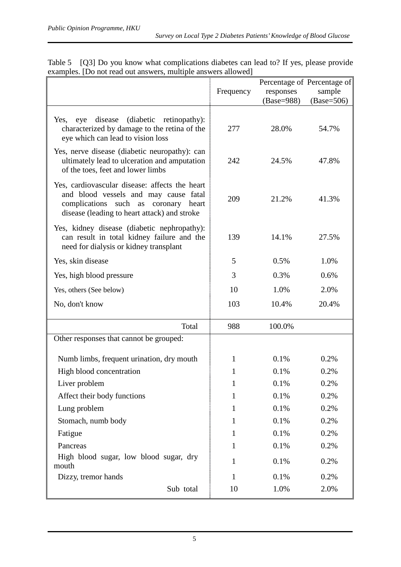|                                                                                                                                                                                 |              |            | Percentage of Percentage of |
|---------------------------------------------------------------------------------------------------------------------------------------------------------------------------------|--------------|------------|-----------------------------|
|                                                                                                                                                                                 | Frequency    | responses  | sample                      |
|                                                                                                                                                                                 |              | (Base=988) | $(Base=506)$                |
| disease (diabetic retinopathy):<br>Yes.<br>eye<br>characterized by damage to the retina of the<br>eye which can lead to vision loss                                             | 277          | 28.0%      | 54.7%                       |
| Yes, nerve disease (diabetic neuropathy): can<br>ultimately lead to ulceration and amputation<br>of the toes, feet and lower limbs                                              | 242          | 24.5%      | 47.8%                       |
| Yes, cardiovascular disease: affects the heart<br>and blood vessels and may cause fatal<br>complications such as coronary heart<br>disease (leading to heart attack) and stroke | 209          | 21.2%      | 41.3%                       |
| Yes, kidney disease (diabetic nephropathy):<br>can result in total kidney failure and the<br>need for dialysis or kidney transplant                                             | 139          | 14.1%      | 27.5%                       |
| Yes, skin disease                                                                                                                                                               | 5            | 0.5%       | 1.0%                        |
| Yes, high blood pressure                                                                                                                                                        | 3            | 0.3%       | 0.6%                        |
| Yes, others (See below)                                                                                                                                                         | 10           | 1.0%       | 2.0%                        |
| No, don't know                                                                                                                                                                  | 103          | 10.4%      | 20.4%                       |
| Total                                                                                                                                                                           | 988          | 100.0%     |                             |
| Other responses that cannot be grouped:                                                                                                                                         |              |            |                             |
| Numb limbs, frequent urination, dry mouth                                                                                                                                       | 1            | 0.1%       | 0.2%                        |
| High blood concentration                                                                                                                                                        | 1            | 0.1%       | 0.2%                        |
| Liver problem                                                                                                                                                                   | 1            | 0.1%       | 0.2%                        |
| Affect their body functions                                                                                                                                                     | 1            | 0.1%       | 0.2%                        |
| Lung problem                                                                                                                                                                    | 1            | 0.1%       | 0.2%                        |
| Stomach, numb body                                                                                                                                                              | 1            | 0.1%       | 0.2%                        |
| Fatigue                                                                                                                                                                         | 1            | 0.1%       | 0.2%                        |
| Pancreas                                                                                                                                                                        | $\mathbf{1}$ | 0.1%       | 0.2%                        |
| High blood sugar, low blood sugar, dry<br>mouth                                                                                                                                 | $\mathbf{1}$ | 0.1%       | 0.2%                        |
| Dizzy, tremor hands                                                                                                                                                             | $\mathbf{1}$ | 0.1%       | 0.2%                        |
| Sub total                                                                                                                                                                       | 10           | 1.0%       | 2.0%                        |

Table 5 [Q3] Do you know what complications diabetes can lead to? If yes, please provide examples. [Do not read out answers, multiple answers allowed]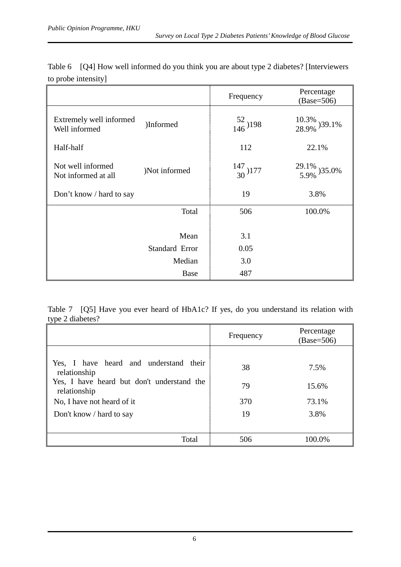|                                          |                | Frequency             | Percentage<br>$(Base=506)$           |
|------------------------------------------|----------------|-----------------------|--------------------------------------|
| Extremely well informed<br>Well informed | )Informed      | $\frac{52}{146}$ )198 | $\frac{10.3\%}{200}$ )39.1%<br>28.9% |
| Half-half                                |                | 112                   | 22.1%                                |
| Not well informed<br>Not informed at all | )Not informed  | $\frac{147}{30}$ )177 | $\frac{29.1\%}{5.9\%}$ )<br>35.0%    |
| Don't know / hard to say                 |                | 19                    | 3.8%                                 |
|                                          | Total          | 506                   | 100.0%                               |
|                                          |                |                       |                                      |
|                                          | Mean           | 3.1                   |                                      |
|                                          | Standard Error | 0.05                  |                                      |
|                                          | Median         | 3.0                   |                                      |
|                                          | Base           | 487                   |                                      |

| Table 6 [Q4] How well informed do you think you are about type 2 diabetes? [Interviewers |
|------------------------------------------------------------------------------------------|
| to probe intensity]                                                                      |

Table 7 [Q5] Have you ever heard of HbA1c? If yes, do you understand its relation with type 2 diabetes?

|                                                            | Frequency | Percentage<br>$(Base=506)$ |
|------------------------------------------------------------|-----------|----------------------------|
|                                                            |           |                            |
| Yes, I have heard and understand their<br>relationship     | 38        | 7.5%                       |
| Yes, I have heard but don't understand the<br>relationship | 79        | 15.6%                      |
| No, I have not heard of it                                 | 370       | 73.1%                      |
| Don't know / hard to say                                   | 19        | 3.8%                       |
|                                                            |           |                            |
| Total                                                      | 506       | 100.0%                     |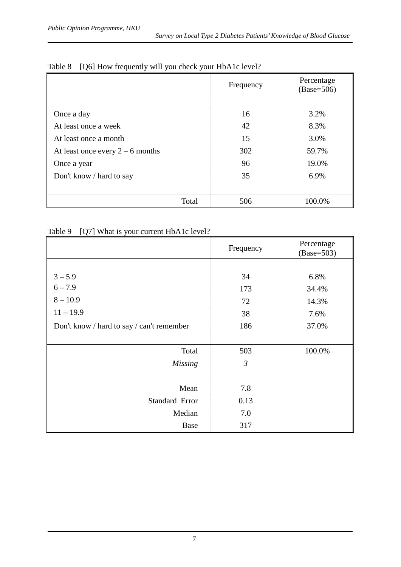|                                    | Frequency | Percentage<br>$(Base=506)$ |
|------------------------------------|-----------|----------------------------|
|                                    |           |                            |
| Once a day                         | 16        | 3.2%                       |
| At least once a week               | 42        | 8.3%                       |
| At least once a month              | 15        | 3.0%                       |
| At least once every $2 - 6$ months | 302       | 59.7%                      |
| Once a year                        | 96        | 19.0%                      |
| Don't know / hard to say           | 35        | 6.9%                       |
|                                    |           |                            |
| Total                              | 506       | 100.0%                     |

#### Table 8 [Q6] How frequently will you check your HbA1c level?

## Table 9 [Q7] What is your current HbA1c level?

|                                           | Frequency      | Percentage<br>$(Base=503)$ |
|-------------------------------------------|----------------|----------------------------|
|                                           |                |                            |
| $3 - 5.9$                                 | 34             | 6.8%                       |
| $6 - 7.9$                                 | 173            | 34.4%                      |
| $8 - 10.9$                                | 72             | 14.3%                      |
| $11 - 19.9$                               | 38             | 7.6%                       |
| Don't know / hard to say / can't remember | 186            | 37.0%                      |
|                                           |                |                            |
| Total                                     | 503            | 100.0%                     |
| <b>Missing</b>                            | $\mathfrak{Z}$ |                            |
|                                           |                |                            |
| Mean                                      | 7.8            |                            |
| Standard Error                            | 0.13           |                            |
| Median                                    | 7.0            |                            |
| Base                                      | 317            |                            |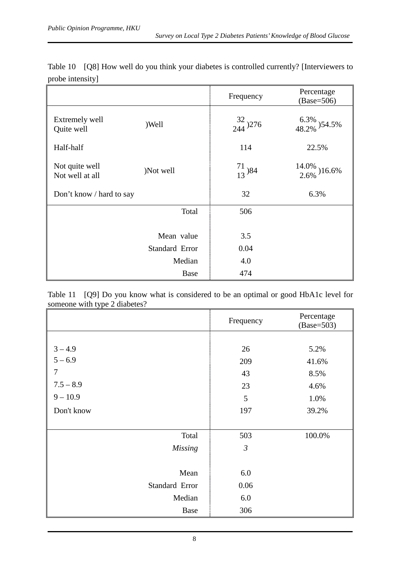|                                   |                | Frequency             | Percentage<br>$(Base=506)$    |
|-----------------------------------|----------------|-----------------------|-------------------------------|
| Extremely well<br>Quite well      | )Well          | $\frac{32}{244}$ )276 | $\frac{6.3\%}{48.2\%}$ )54.5% |
| Half-half                         |                | 114                   | 22.5%                         |
| Not quite well<br>Not well at all | )Not well      | $\frac{71}{13}$ )84   | $\frac{14.0\%}{2.6\%}$ )16.6% |
| Don't know / hard to say          |                | 32                    | 6.3%                          |
|                                   | Total          | 506                   |                               |
|                                   |                |                       |                               |
|                                   | Mean value     | 3.5                   |                               |
|                                   | Standard Error | 0.04                  |                               |
|                                   | Median         | 4.0                   |                               |
|                                   | <b>Base</b>    | 474                   |                               |

Table 10 [Q8] How well do you think your diabetes is controlled currently? [Interviewers to probe intensity]

| Table 11 [Q9] Do you know what is considered to be an optimal or good HbA1c level for |  |  |  |  |  |
|---------------------------------------------------------------------------------------|--|--|--|--|--|
| someone with type 2 diabetes?                                                         |  |  |  |  |  |

|                | Frequency      | Percentage<br>$(Base=503)$ |
|----------------|----------------|----------------------------|
|                |                |                            |
| $3 - 4.9$      | 26             | 5.2%                       |
| $5 - 6.9$      | 209            | 41.6%                      |
| 7              | 43             | 8.5%                       |
| $7.5 - 8.9$    | 23             | 4.6%                       |
| $9 - 10.9$     | 5              | 1.0%                       |
| Don't know     | 197            | 39.2%                      |
|                |                |                            |
| Total          | 503            | 100.0%                     |
| Missing        | $\mathfrak{Z}$ |                            |
|                |                |                            |
| Mean           | 6.0            |                            |
| Standard Error | 0.06           |                            |
| Median         | 6.0            |                            |
| Base           | 306            |                            |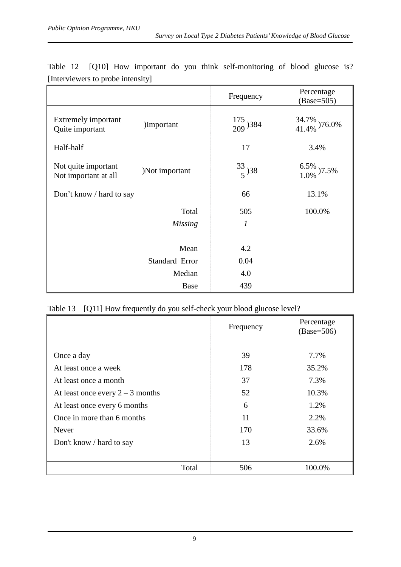|                                             |                | Frequency              | Percentage<br>$(Base=505)$     |
|---------------------------------------------|----------------|------------------------|--------------------------------|
| Extremely important<br>Quite important      | )Important     | $\frac{175}{209}$ )384 | $\frac{34.7\%}{41.4\%}$ )76.0% |
| Half-half                                   |                | 17                     | 3.4%                           |
| Not quite important<br>Not important at all | )Not important | $\frac{33}{5}$ )38     | $\frac{6.5\%}{1.0\%}$<br>)7.5% |
| Don't know / hard to say                    |                | 66                     | 13.1%                          |
|                                             | Total          | 505                    | 100.0%                         |
|                                             | <b>Missing</b> | $\boldsymbol{l}$       |                                |
|                                             |                |                        |                                |
|                                             | Mean           | 4.2                    |                                |
|                                             | Standard Error | 0.04                   |                                |
|                                             | Median         | 4.0                    |                                |
|                                             | <b>Base</b>    | 439                    |                                |

Table 12 [Q10] How important do you think self-monitoring of blood glucose is? [Interviewers to probe intensity]

## Table 13 [Q11] How frequently do you self-check your blood glucose level?

|                                    | Frequency | Percentage<br>$(Base=506)$ |
|------------------------------------|-----------|----------------------------|
|                                    |           |                            |
| Once a day                         | 39        | 7.7%                       |
| At least once a week               | 178       | 35.2%                      |
| At least once a month              | 37        | 7.3%                       |
| At least once every $2 - 3$ months | 52        | 10.3%                      |
| At least once every 6 months       | 6         | 1.2%                       |
| Once in more than 6 months         | 11        | 2.2%                       |
| Never                              | 170       | 33.6%                      |
| Don't know / hard to say           | 13        | 2.6%                       |
|                                    |           |                            |
| Total                              | 506       | 100.0%                     |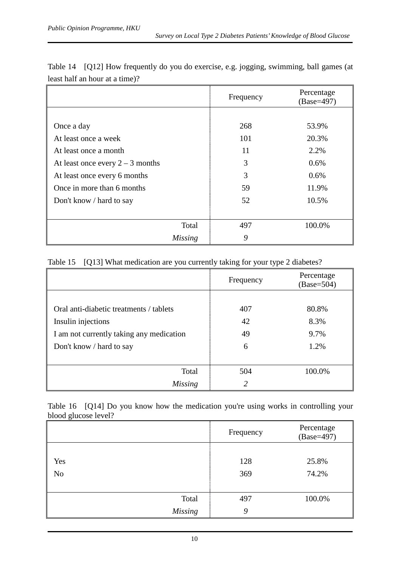|                                    | Frequency | Percentage<br>(Base=497) |
|------------------------------------|-----------|--------------------------|
|                                    |           |                          |
| Once a day                         | 268       | 53.9%                    |
| At least once a week               | 101       | 20.3%                    |
| At least once a month              | 11        | 2.2%                     |
| At least once every $2 - 3$ months | 3         | 0.6%                     |
| At least once every 6 months       | 3         | 0.6%                     |
| Once in more than 6 months         | 59        | 11.9%                    |
| Don't know / hard to say           | 52        | 10.5%                    |
|                                    |           |                          |
| Total                              | 497       | 100.0%                   |
| <b>Missing</b>                     | 9         |                          |

Table 14 [Q12] How frequently do you do exercise, e.g. jogging, swimming, ball games (at least half an hour at a time)?

#### Table 15 [Q13] What medication are you currently taking for your type 2 diabetes?

|                                          | Frequency | Percentage<br>$(Base=504)$ |
|------------------------------------------|-----------|----------------------------|
|                                          |           |                            |
| Oral anti-diabetic treatments / tablets  | 407       | 80.8%                      |
| Insulin injections                       | 42        | 8.3%                       |
| I am not currently taking any medication | 49        | 9.7%                       |
| Don't know / hard to say                 | 6         | 1.2%                       |
|                                          |           |                            |
| Total                                    | 504       | 100.0%                     |
| <b>Missing</b>                           | 2         |                            |

Table 16 [Q14] Do you know how the medication you're using works in controlling your blood glucose level?

|                | Frequency | Percentage<br>(Base=497) |
|----------------|-----------|--------------------------|
|                |           |                          |
| Yes            | 128       | 25.8%                    |
| N <sub>o</sub> | 369       | 74.2%                    |
|                |           |                          |
| Total          | 497       | 100.0%                   |
| <b>Missing</b> | 9         |                          |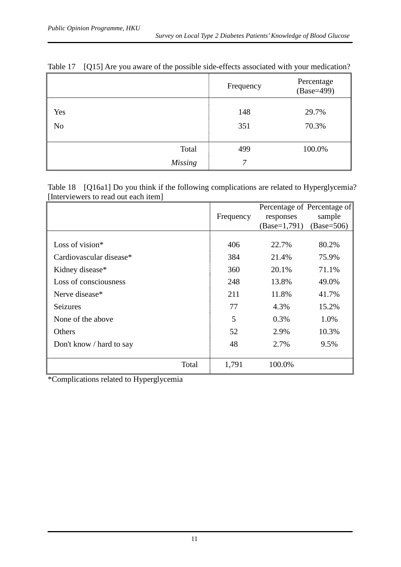|                       | Frequency  | Percentage<br>(Base=499) |
|-----------------------|------------|--------------------------|
| Yes<br>N <sub>o</sub> | 148<br>351 | 29.7%<br>70.3%           |
| Total                 | 499        | 100.0%                   |
| <b>Missing</b>        | 7          |                          |

|  | Table 17 [Q15] Are you aware of the possible side-effects associated with your medication? |  |  |  |  |
|--|--------------------------------------------------------------------------------------------|--|--|--|--|
|--|--------------------------------------------------------------------------------------------|--|--|--|--|

Table 18 [Q16a1] Do you think if the following complications are related to Hyperglycemia? [Interviewers to read out each item]

|                          |           | Percentage of Percentage of |              |
|--------------------------|-----------|-----------------------------|--------------|
|                          | Frequency | responses                   | sample       |
|                          |           | $(Base=1,791)$              | $(Base=506)$ |
|                          |           |                             |              |
| Loss of vision $*$       | 406       | 22.7%                       | 80.2%        |
| Cardiovascular disease*  | 384       | 21.4%                       | 75.9%        |
| Kidney disease*          | 360       | 20.1%                       | 71.1%        |
| Loss of consciousness    | 248       | 13.8%                       | 49.0%        |
| Nerve disease*           | 211       | 11.8%                       | 41.7%        |
| Seizures                 | 77        | 4.3%                        | 15.2%        |
| None of the above        | 5         | 0.3%                        | 1.0%         |
| Others                   | 52        | 2.9%                        | 10.3%        |
| Don't know / hard to say | 48        | 2.7%                        | 9.5%         |
|                          |           |                             |              |
| Total                    | 1,791     | 100.0%                      |              |

\*Complications related to Hyperglycemia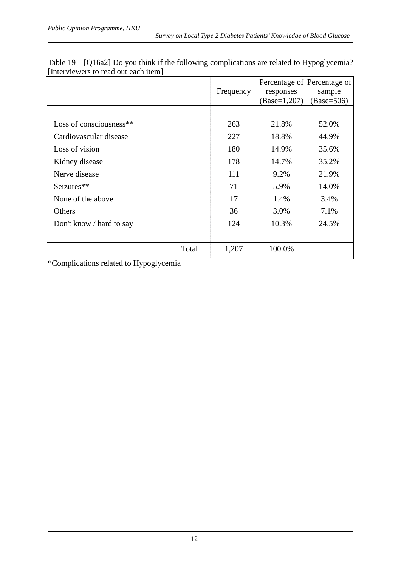|                          |           | Percentage of Percentage of |              |
|--------------------------|-----------|-----------------------------|--------------|
|                          | Frequency | responses                   | sample       |
|                          |           | $(Base=1,207)$              | $(Base=506)$ |
|                          |           |                             |              |
| Loss of consciousness**  | 263       | 21.8%                       | 52.0%        |
| Cardiovascular disease   | 227       | 18.8%                       | 44.9%        |
| Loss of vision           | 180       | 14.9%                       | 35.6%        |
| Kidney disease           | 178       | 14.7%                       | 35.2%        |
| Nerve disease            | 111       | 9.2%                        | 21.9%        |
| Seizures**               | 71        | 5.9%                        | 14.0%        |
| None of the above        | 17        | 1.4%                        | 3.4%         |
| <b>Others</b>            | 36        | 3.0%                        | 7.1%         |
| Don't know / hard to say | 124       | 10.3%                       | 24.5%        |
|                          |           |                             |              |
| Total                    | 1,207     | 100.0%                      |              |

| Table 19 [Q16a2] Do you think if the following complications are related to Hypoglycemia? |
|-------------------------------------------------------------------------------------------|
| [Interviewers to read out each item]                                                      |

\*Complications related to Hypoglycemia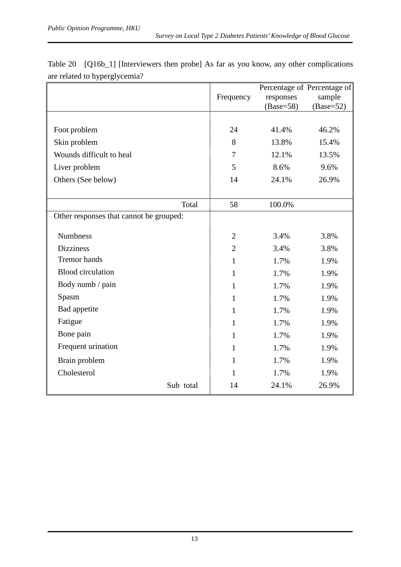|                                         | Percentage of Percentage of |             |             |
|-----------------------------------------|-----------------------------|-------------|-------------|
|                                         | Frequency                   | responses   | sample      |
|                                         |                             | $(Base=58)$ | $(Base=52)$ |
|                                         |                             |             |             |
| Foot problem                            | 24                          | 41.4%       | 46.2%       |
| Skin problem                            | 8                           | 13.8%       | 15.4%       |
| Wounds difficult to heal                | 7                           | 12.1%       | 13.5%       |
| Liver problem                           | 5                           | 8.6%        | 9.6%        |
| Others (See below)                      | 14                          | 24.1%       | 26.9%       |
|                                         |                             |             |             |
| Total                                   | 58                          | 100.0%      |             |
| Other responses that cannot be grouped: |                             |             |             |
|                                         |                             |             |             |
| <b>Numbness</b>                         | $\overline{2}$              | 3.4%        | 3.8%        |
| <b>Dizziness</b>                        | $\overline{2}$              | 3.4%        | 3.8%        |
| <b>Tremor</b> hands                     | 1                           | 1.7%        | 1.9%        |
| <b>Blood</b> circulation                | 1                           | 1.7%        | 1.9%        |
| Body numb / pain                        | 1                           | 1.7%        | 1.9%        |
| Spasm                                   | 1                           | 1.7%        | 1.9%        |
| Bad appetite                            | 1                           | 1.7%        | 1.9%        |
| Fatigue                                 | 1                           | 1.7%        | 1.9%        |
| Bone pain                               | $\mathbf{1}$                | 1.7%        | 1.9%        |
| Frequent urination                      | 1                           | 1.7%        | 1.9%        |
| Brain problem                           | 1                           | 1.7%        | 1.9%        |
| Cholesterol                             | 1                           | 1.7%        | 1.9%        |
| Sub total                               | 14                          | 24.1%       | 26.9%       |

Table 20 [Q16b\_1] [Interviewers then probe] As far as you know, any other complications are related to hyperglycemia?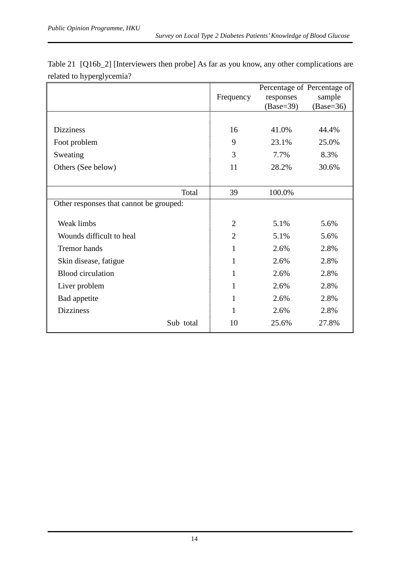|                                         |                |             | Percentage of Percentage of |
|-----------------------------------------|----------------|-------------|-----------------------------|
|                                         | Frequency      | responses   | sample                      |
|                                         |                | $(Base=39)$ | $(Base=36)$                 |
|                                         |                |             |                             |
| <b>Dizziness</b>                        | 16             | 41.0%       | 44.4%                       |
| Foot problem                            | 9              | 23.1%       | 25.0%                       |
| Sweating                                | 3              | 7.7%        | 8.3%                        |
| Others (See below)                      | 11             | 28.2%       | 30.6%                       |
|                                         |                |             |                             |
| Total                                   | 39             | 100.0%      |                             |
| Other responses that cannot be grouped: |                |             |                             |
|                                         |                |             |                             |
| Weak limbs                              | $\overline{2}$ | 5.1%        | 5.6%                        |
| Wounds difficult to heal                | $\overline{2}$ | 5.1%        | 5.6%                        |
| <b>Tremor</b> hands                     | 1              | 2.6%        | 2.8%                        |
| Skin disease, fatigue                   | 1              | 2.6%        | 2.8%                        |
| <b>Blood</b> circulation                | 1              | 2.6%        | 2.8%                        |
| Liver problem                           | 1              | 2.6%        | 2.8%                        |
| Bad appetite                            | 1              | 2.6%        | 2.8%                        |
| <b>Dizziness</b>                        | 1              | 2.6%        | 2.8%                        |
| Sub total                               | 10             | 25.6%       | 27.8%                       |

Table 21 [Q16b\_2] [Interviewers then probe] As far as you know, any other complications are related to hyperglycemia?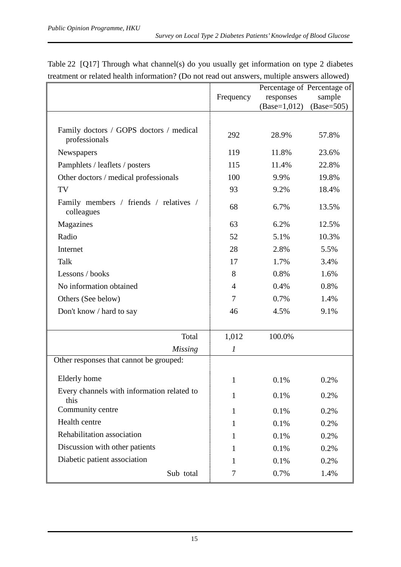|                                                          |                  | Percentage of Percentage of |              |
|----------------------------------------------------------|------------------|-----------------------------|--------------|
|                                                          | Frequency        | responses                   | sample       |
|                                                          |                  | $(Base=1,012)$              | $(Base=505)$ |
|                                                          |                  |                             |              |
| Family doctors / GOPS doctors / medical<br>professionals | 292              | 28.9%                       | 57.8%        |
| Newspapers                                               | 119              | 11.8%                       | 23.6%        |
| Pamphlets / leaflets / posters                           | 115              | 11.4%                       | 22.8%        |
| Other doctors / medical professionals                    | 100              | 9.9%                        | 19.8%        |
| TV                                                       | 93               | 9.2%                        | 18.4%        |
| Family members / friends / relatives /<br>colleagues     | 68               | 6.7%                        | 13.5%        |
| Magazines                                                | 63               | 6.2%                        | 12.5%        |
| Radio                                                    | 52               | 5.1%                        | 10.3%        |
| Internet                                                 | 28               | 2.8%                        | 5.5%         |
| Talk                                                     | 17               | 1.7%                        | 3.4%         |
| Lessons / books                                          | 8                | 0.8%                        | 1.6%         |
| No information obtained                                  | 4                | 0.4%                        | 0.8%         |
| Others (See below)                                       | 7                | 0.7%                        | 1.4%         |
| Don't know / hard to say                                 | 46               | 4.5%                        | 9.1%         |
|                                                          |                  |                             |              |
| Total                                                    | 1,012            | 100.0%                      |              |
| <b>Missing</b>                                           | $\boldsymbol{l}$ |                             |              |
| Other responses that cannot be grouped:                  |                  |                             |              |
|                                                          |                  |                             |              |
| Elderly home                                             |                  | 0.1%                        | 0.2%         |
| Every channels with information related to<br>this       | $\mathbf{1}$     | 0.1%                        | 0.2%         |
| Community centre                                         | $\mathbf{1}$     | 0.1%                        | 0.2%         |
| Health centre                                            | $\mathbf{1}$     | 0.1%                        | 0.2%         |
| Rehabilitation association                               | $\mathbf{1}$     | 0.1%                        | 0.2%         |
| Discussion with other patients                           | 1                | 0.1%                        | 0.2%         |
| Diabetic patient association                             | $\mathbf{1}$     | 0.1%                        | 0.2%         |
| Sub total                                                | 7                | 0.7%                        | 1.4%         |

Table 22 [Q17] Through what channel(s) do you usually get information on type 2 diabetes treatment or related health information? (Do not read out answers, multiple answers allowed)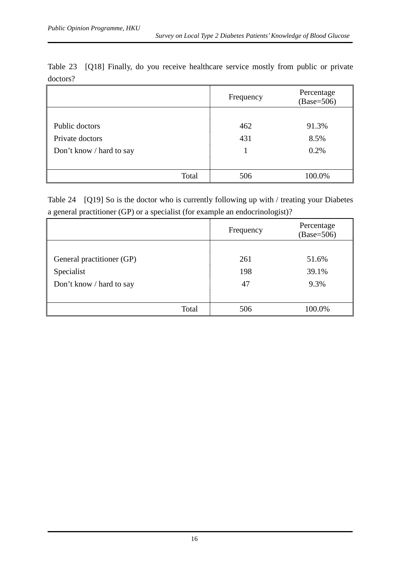|                          | Frequency | Percentage<br>$(Base=506)$ |
|--------------------------|-----------|----------------------------|
|                          |           |                            |
| Public doctors           | 462       | 91.3%                      |
| Private doctors          | 431       | 8.5%                       |
| Don't know / hard to say |           | 0.2%                       |
|                          |           |                            |
| Total                    | 506       | 100.0%                     |

Table 23 [Q18] Finally, do you receive healthcare service mostly from public or private doctors?

Table 24 [Q19] So is the doctor who is currently following up with / treating your Diabetes a general practitioner (GP) or a specialist (for example an endocrinologist)?

|                           | Frequency | Percentage<br>$(Base=506)$ |
|---------------------------|-----------|----------------------------|
|                           |           |                            |
| General practitioner (GP) | 261       | 51.6%                      |
| Specialist                | 198       | 39.1%                      |
| Don't know / hard to say  | 47        | 9.3%                       |
|                           |           |                            |
| Total                     | 506       | 100.0%                     |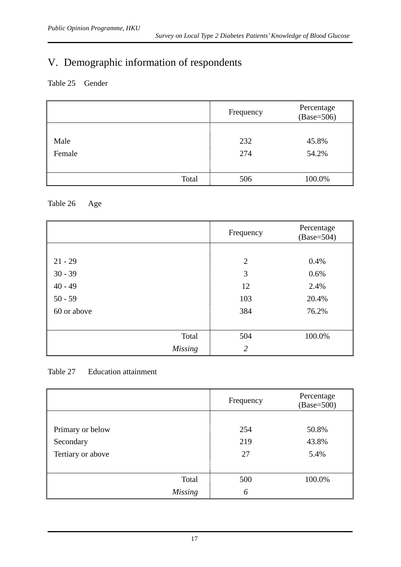# V. Demographic information of respondents

#### Table 25 Gender

|                | Percentage<br>Frequency<br>$(Base=506)$ |                |
|----------------|-----------------------------------------|----------------|
| Male<br>Female | 232<br>274                              | 45.8%<br>54.2% |
| Total          | 506                                     | 100.0%         |

#### Table 26 Age

|                | Frequency      | Percentage<br>$(Base=504)$ |
|----------------|----------------|----------------------------|
|                |                |                            |
| $21 - 29$      | $\overline{2}$ | 0.4%                       |
| $30 - 39$      | 3              | 0.6%                       |
| $40 - 49$      | 12             | 2.4%                       |
| $50 - 59$      | 103            | 20.4%                      |
| 60 or above    | 384            | 76.2%                      |
|                |                |                            |
| Total          | 504            | 100.0%                     |
| <b>Missing</b> | $\overline{2}$ |                            |

#### Table 27 Education attainment

|                   | Percentage<br>Frequency<br>$(Base=500)$ |        |
|-------------------|-----------------------------------------|--------|
|                   |                                         |        |
| Primary or below  | 254                                     | 50.8%  |
| Secondary         | 219                                     | 43.8%  |
| Tertiary or above | 27                                      | 5.4%   |
|                   |                                         |        |
| Total             | 500                                     | 100.0% |
| <b>Missing</b>    | 6                                       |        |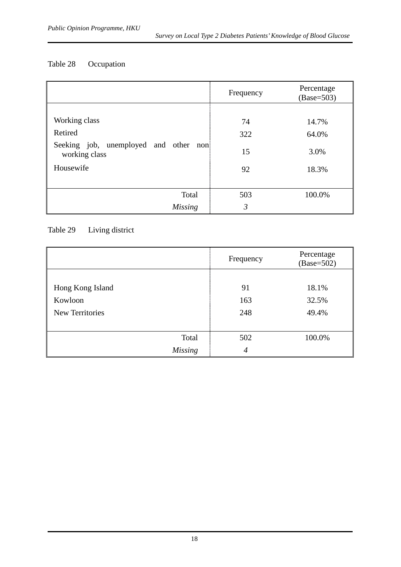#### Table 28 Occupation

|                                                        | Frequency | Percentage<br>$(Base=503)$ |
|--------------------------------------------------------|-----------|----------------------------|
|                                                        |           |                            |
| Working class                                          | 74        | 14.7%                      |
| Retired                                                | 322       | 64.0%                      |
| Seeking job, unemployed and other non<br>working class | 15        | 3.0%                       |
| Housewife                                              | 92        | 18.3%                      |
|                                                        |           |                            |
| Total                                                  | 503       | 100.0%                     |
| <i>Missing</i>                                         | 3         |                            |

## Table 29 Living district

|                        | Percentage<br>Frequency<br>$(Base=502)$ |        |
|------------------------|-----------------------------------------|--------|
|                        |                                         |        |
| Hong Kong Island       | 91                                      | 18.1%  |
| Kowloon                | 163                                     | 32.5%  |
| <b>New Territories</b> | 248                                     | 49.4%  |
|                        |                                         |        |
| Total                  | 502                                     | 100.0% |
| <b>Missing</b>         | 4                                       |        |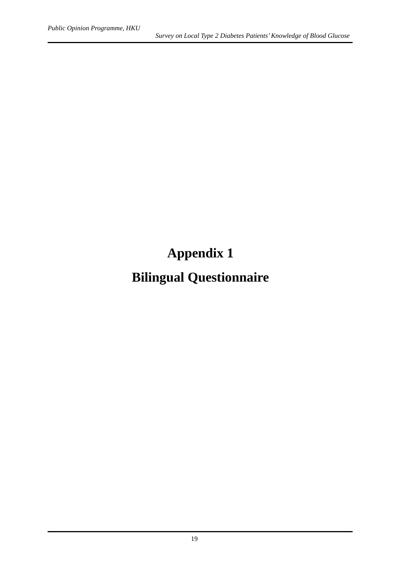**Appendix 1**

# **Bilingual Questionnaire**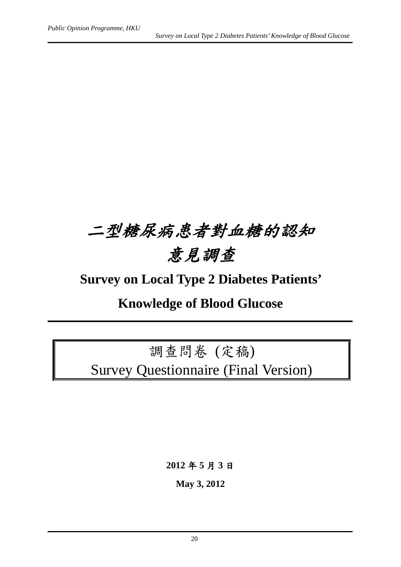# 二型糖尿病患者對血糖的認知 意見調查

# **Survey on Local Type 2 Diabetes Patients'**

# **Knowledge of Blood Glucose**

# 調查問卷 (定稿) Survey Questionnaire (Final Version)

**2012** 年 **5** 月 **3** 日

**May 3, 2012**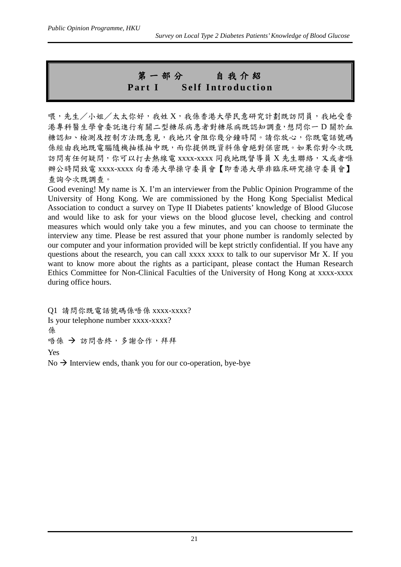# 第一部分自我介紹 **Part I Self Introduction**

喂,先生/小姐/太太你好,我姓 X,我係香港大學民意研究計劃既訪問員,我地受香 港專科醫生學會委託進行有關二型糖尿病患者對糖尿病既認知調查,想問你一 D 關於血 糖認知、檢測及控制方法既意見,我地只會阻你幾分鐘時間。請你放心,你既電話號碼 係經由我地既電腦隨機抽樣抽中既,而你提供既資料係會絕對保密既。如果你對今次既 訪問有任何疑問,你可以打去熱線電 xxxx-xxxx 同我地既督導員 X 先生聯絡,又或者喺 辦公時間致電 xxxx-xxxx 向香港大學操守委員會【即香港大學非臨床研究操守委員會】 查詢今次既調查。

Good evening! My name is X. I'm an interviewer from the Public Opinion Programme of the University of Hong Kong. We are commissioned by the Hong Kong Specialist Medical Association to conduct a survey on Type II Diabetes patients' knowledge of Blood Glucose and would like to ask for your views on the blood glucose level, checking and control measures which would only take you a few minutes, and you can choose to terminate the interview any time. Please be rest assured that your phone number is randomly selected by our computer and your information provided will be kept strictly confidential. If you have any questions about the research, you can call xxxx xxxx to talk to our supervisor Mr X. If you want to know more about the rights as a participant, please contact the Human Research Ethics Committee for Non-Clinical Faculties of the University of Hong Kong at xxxx-xxxx during office hours.

Q1 請問你既電話號碼係唔係 xxxx-xxxx? Is your telephone number xxxx-xxxx? 係 唔係 → 訪問告終,多謝合作,拜拜 Yes

 $No \rightarrow$  Interview ends, thank you for our co-operation, bye-bye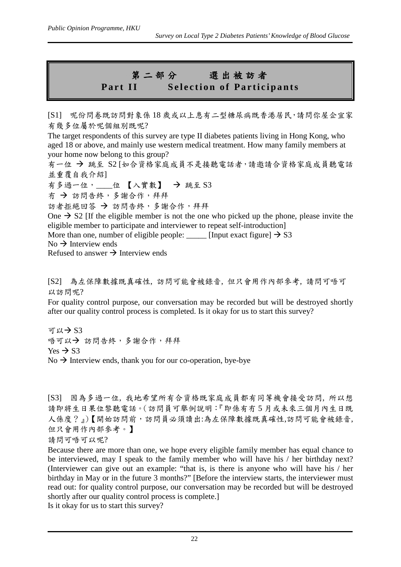# 第二部分選出被訪者 **Part II Selection of Participants**

[S1] 呢份問卷既訪問對象係 18 歲或以上患有二型糖尿病既香港居民,請問你屋企宜家 有幾多位屬於呢個組別既呢?

The target respondents of this survey are type II diabetes patients living in Hong Kong, who aged 18 or above, and mainly use western medical treatment. How many family members at your home now belong to this group?

有一位 → 跳至 S2 [如合資格家庭成員不是接聽電話者,請邀請合資格家庭成員聽電話 並重覆自我介紹]

有多過一位, \_\_\_位【入實數】 → 跳至 S3

冇 → 訪問告終,多謝合作,拜拜

訪者拒絕回答 → 訪問告終,多謝合作,拜拜

One  $\rightarrow$  S2 [If the eligible member is not the one who picked up the phone, please invite the eligible member to participate and interviewer to repeat self-introduction]

More than one, number of eligible people:  $\frac{1}{2}$  [Input exact figure]  $\rightarrow$  S3

 $No \rightarrow$  Interview ends

Refused to answer  $\rightarrow$  Interview ends

[S2] 為左保障數據既真確性, 訪問可能會被錄音, 但只會用作內部參考, 請問可唔可 以訪問呢?

For quality control purpose, our conversation may be recorded but will be destroyed shortly after our quality control process is completed. Is it okay for us to start this survey?

可以→ S3 唔可以→ 訪問告終,多謝合作,拜拜  $Yes \rightarrow S3$  $\rm No \rightarrow$  Interview ends, thank you for our co-operation, bye-bye

[S3] 因為多過一位, 我地希望所有合資格既家庭成員都有同等機會接受訪問, 所以想 請即將生日果位黎聽電話。(訪問員可舉例說明:『即係有冇 5 月或未來三個月內生日既 人係度?』)【開始訪問前,訪問員必須讀出:為左保障數據既真確性,訪問可能會被錄音, 但只會用作內部參考。】

請問可唔可以呢?

Because there are more than one, we hope every eligible family member has equal chance to be interviewed, may I speak to the family member who will have his / her birthday next? (Interviewer can give out an example: "that is, is there is anyone who will have his / her birthday in May or in the future 3 months?" [Before the interview starts, the interviewer must read out: for quality control purpose, our conversation may be recorded but will be destroyed shortly after our quality control process is complete.]

Is it okay for us to start this survey?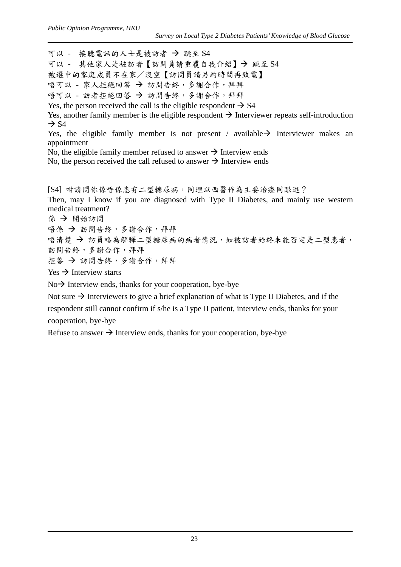可以 - 接聽電話的人士是被訪者 → 跳至 S4 可以 - 其他家人是被訪者【訪問員請重覆自我介紹】→ 跳至 S4 被選中的家庭成員不在家/沒空【訪問員請另約時間再致電】 唔可以 - 家人拒絕回答 → 訪問告終,多謝合作,拜拜 唔可以 - 訪者拒絕回答 → 訪問告終,多謝合作,拜拜 Yes, the person received the call is the eligible respondent  $\rightarrow$  S4 Yes, another family member is the eligible respondent  $\rightarrow$  Interviewer repeats self-introduction  $\rightarrow$  S<sub>4</sub> Yes, the eligible family member is not present / available  $\rightarrow$  Interviewer makes an appointment No, the eligible family member refused to answer  $\rightarrow$  Interview ends No, the person received the call refused to answer  $\rightarrow$  Interview ends [S4] 咁請問你係唔係患有二型糖尿病,同埋以西醫作為主要治療同跟進? Then, may I know if you are diagnosed with Type II Diabetes, and mainly use western medical treatment? 係 → 開始訪問 唔係 → 訪問告終,多謝合作,拜拜 唔清楚 → 訪員略為解釋二型糖尿病的病者情況,如被訪者始終未能否定是二型患者, 訪問告終,多謝合作,拜拜 拒答 → 訪問告終,多謝合作,拜拜  $Yes \rightarrow$  Interview starts

 $No<sup>3</sup>$  Interview ends, thanks for your cooperation, bye-bye

Not sure  $\rightarrow$  Interviewers to give a brief explanation of what is Type II Diabetes, and if the respondent still cannot confirm if s/he is a Type II patient, interview ends, thanks for your cooperation, bye-bye

Refuse to answer  $\rightarrow$  Interview ends, thanks for your cooperation, bye-bye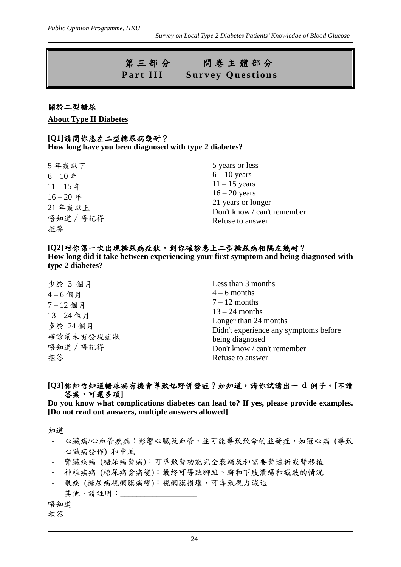*Survey on Local Type 2 Diabetes Patients' Knowledge of Blood Glucose*

| 第三部分     | 問卷主體部分                  |
|----------|-------------------------|
| Part III | <b>Survey Questions</b> |

#### 關於二型糖尿

#### **About Type II Diabetes**

#### **[Q1]**請問你患左二型糖尿病幾耐? **How long have you been diagnosed with type 2 diabetes?**

| 5年或以下                              | 5 years or less                                                                          |
|------------------------------------|------------------------------------------------------------------------------------------|
| $6 - 10$ 年                         | $6 - 10$ years                                                                           |
| $11 - 15$ 年                        | $11 - 15$ years                                                                          |
| $16 - 20$ 年<br>21年或以上<br>唔知道 / 唔記得 | $16 - 20$ years<br>21 years or longer<br>Don't know / can't remember<br>Refuse to answer |
| 拒答                                 |                                                                                          |

#### **[Q2]**咁你第一次出現糖尿病症狀,到你確診患上二型糖尿病相隔左幾耐? **How long did it take between experiencing your first symptom and being diagnosed with type 2 diabetes?**

| 少於 3 個月   | Less than 3 months                    |
|-----------|---------------------------------------|
| $4-6$ 個月  | $4 - 6$ months                        |
| 7-12個月    | $7 - 12$ months                       |
| 13-24 個月  | $13 - 24$ months                      |
| 多於 24 個月  | Longer than 24 months                 |
|           | Didn't experience any symptoms before |
| 確診前未有發現症狀 | being diagnosed                       |
| 唔知道 / 唔記得 | Don't know / can't remember           |
| 拒答        | Refuse to answer                      |

#### **[Q3]**你知唔知道糖尿病有機會導致乜野併發症?如知道,請你試講出一 **d** 例子。**[**不讀 答案,可選多項**]**

**Do you know what complications diabetes can lead to? If yes, please provide examples. [Do not read out answers, multiple answers allowed]**

知道

- 心臟病/心血管疾病:影響心臟及血管,並可能導致致命的並發症,如冠心病 (導致 心臟病發作) 和中風
- 腎臟疾病 (糖尿病腎病):可導致腎功能完全衰竭及和需要腎透析或腎移植
- 神經疾病 (糖尿病腎病變):最終可導致腳趾、腳和下肢潰瘍和截肢的情況
- 眼疾 (糖尿病視網膜病變): 視網膜損壞, 可導致視力減退
- 其他,請註明: \_\_\_\_\_\_\_\_\_

#### 唔知道

拒答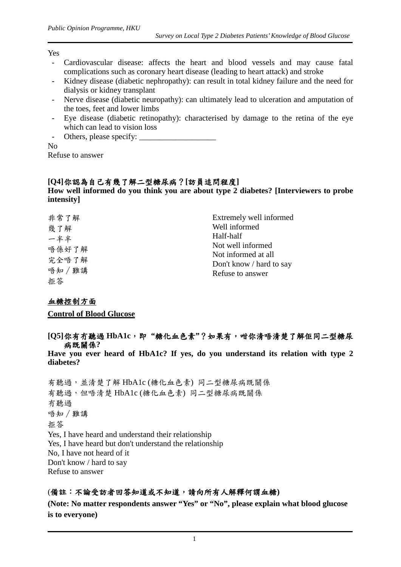#### Yes

- Cardiovascular disease: affects the heart and blood vessels and may cause fatal complications such as coronary heart disease (leading to heart attack) and stroke
- Kidney disease (diabetic nephropathy): can result in total kidney failure and the need for dialysis or kidney transplant
- Nerve disease (diabetic neuropathy): can ultimately lead to ulceration and amputation of the toes, feet and lower limbs
- Eye disease (diabetic retinopathy): characterised by damage to the retina of the eye which can lead to vision loss
- Others, please specify:

No

Refuse to answer

#### **[Q4]**你認為自己有幾了解二型糖尿病?**[**訪員追問程度**]**

**How well informed do you think you are about type 2 diabetes? [Interviewers to probe intensity]**

| 非常了解                            | Extremely well informed                                                                  |
|---------------------------------|------------------------------------------------------------------------------------------|
| 幾了解                             | Well informed                                                                            |
| 一半半                             | Half-half                                                                                |
| 唔係好了解<br>完全唔了解<br>唔知 / 難講<br>拒答 | Not well informed<br>Not informed at all<br>Don't know / hard to say<br>Refuse to answer |

#### 血糖控制方面

**Control of Blood Glucose**

#### **[Q5]**你有冇聽過 **HbA1c**,即 **"**糖化血色素**"**?如果有,咁你清唔清楚了解佢同二型糖尿 病既關係**?**

**Have you ever heard of HbA1c? If yes, do you understand its relation with type 2 diabetes?**

有聽過,並清楚了解 HbA1c (糖化血色素) 同二型糖尿病既關係 有聽過,但唔清楚 HbA1c (糖化血色素) 同二型糖尿病既關係 冇聽過 唔知∕難講 拒答 Yes, I have heard and understand their relationship Yes, I have heard but don't understand the relationship No, I have not heard of it Don't know / hard to say Refuse to answer

#### (備註:不論受訪者回答知道或不知道,請向所有人解釋何謂血糖**)**

**(Note: No matter respondents answer "Yes" or "No", please explain what blood glucose is to everyone)**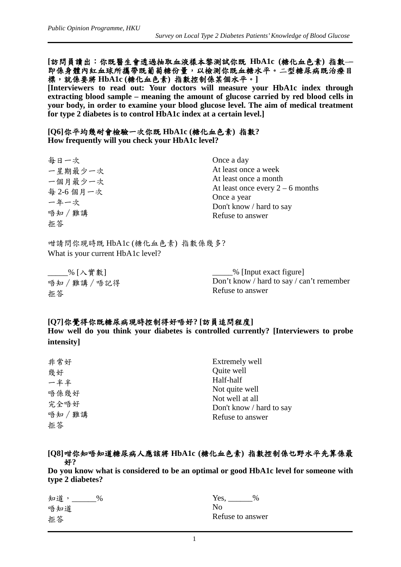#### **[**訪問員讀出:你既醫生會透過抽取血液樣本黎測試你既 **HbA1c (**糖化血色素**)** 指數 **–** 即係身體內紅血球所攜帶既葡萄糖份量,以檢測你既血糖水平。二型糖尿病既治療目 標,就係要將 **HbA1c (**糖化血色素**)** 指數控制係某個水平。**]**

**[Interviewers to read out: Your doctors will measure your HbA1c index through extracting blood sample – meaning the amount of glucose carried by red blood cells in your body, in order to examine your blood glucose level. The aim of medical treatment for type 2 diabetes is to control HbA1c index at a certain level.]**

#### **[Q6]**你平均幾耐會檢驗一次你既 **HbA1c (**糖化血色素**)** 指數**? How frequently will you check your HbA1c level?**

| 每日一次     | Once a day                         |
|----------|------------------------------------|
| 一星期最少一次  | At least once a week               |
| 一個月最少一次  | At least once a month              |
| 每2-6個月一次 | At least once every $2 - 6$ months |
|          | Once a year                        |
| 一年一次     | Don't know / hard to say           |
| 唔知 / 難講  | Refuse to answer                   |
| 拒答       |                                    |

咁請問你現時既 HbA1c (糖化血色素) 指數係幾多? What is your current HbA1c level?

| _____% [入實數]  | _____% [Input exact figure]               |
|---------------|-------------------------------------------|
| 唔知 / 難講 / 唔記得 | Don't know / hard to say / can't remember |
| 拒答            | Refuse to answer                          |

#### **[Q7]**你覺得你既糖尿病現時控制得好唔好**? [**訪員追問程度**]**

**How well do you think your diabetes is controlled currently? [Interviewers to probe intensity]**

| 非常好     | Extremely well           |
|---------|--------------------------|
| 幾好      | Quite well               |
| 一半半     | Half-half                |
| 唔係幾好    | Not quite well           |
|         | Not well at all          |
| 完全唔好    | Don't know / hard to say |
| 唔知 / 難講 | Refuse to answer         |
| 拒答      |                          |

#### **[Q8]**咁你知唔知道糖尿病人應該將 **HbA1c (**糖化血色素**)** 指數控制係乜野水平先算係最 好**?**

**Do you know what is considered to be an optimal or good HbA1c level for someone with type 2 diabetes?**

| 知道,<br>$\%$ | Yes.<br>$\%$     |
|-------------|------------------|
| 唔知道         | N٥               |
| 拒答          | Refuse to answer |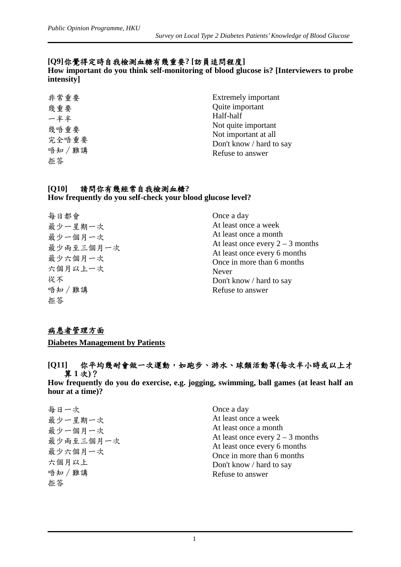#### **[Q9]**你覺得定時自我檢測血糖有幾重要**? [**訪員追問程度**]**

**How important do you think self-monitoring of blood glucose is? [Interviewers to probe intensity]**

|    | 非常重要    |  |  |
|----|---------|--|--|
|    | 幾重要     |  |  |
|    | 一半半     |  |  |
|    | 幾唔重要    |  |  |
|    | 完全唔重要   |  |  |
|    | 唔知 / 難講 |  |  |
| 拒答 |         |  |  |

Extremely important Quite important Half-half Not quite important Not important at all Don't know / hard to say Refuse to answer

#### **[Q10]** 請問你有幾經常自我檢測血糖**? How frequently do you self-check your blood glucose level?**

| 每日都會      | Once a day                         |
|-----------|------------------------------------|
| 最少一星期一次   | At least once a week               |
| 最少一個月一次   | At least once a month              |
| 最少兩至三個月一次 | At least once every $2 - 3$ months |
| 最少六個月一次   | At least once every 6 months       |
|           | Once in more than 6 months         |
| 六個月以上一次   | <b>Never</b>                       |
| 從不        | Don't know / hard to say           |
| 唔知 / 難講   | Refuse to answer                   |
| 拒答        |                                    |

#### 病患者管理方面

**Diabetes Management by Patients**

#### **[Q11]** 你平均幾耐會做一次運動,如跑步、游水、球類活動等**(**每次半小時或以上才 算 **1** 次**)**?

**How frequently do you do exercise, e.g. jogging, swimming, ball games (at least half an hour at a time)?**

| 每日一次                                                           | Once a day                                                                                                                                                                                        |
|----------------------------------------------------------------|---------------------------------------------------------------------------------------------------------------------------------------------------------------------------------------------------|
| 最少一星期一次<br>最少一個月一次<br>最少兩至三個月一次<br>最少六個月一次<br>六個月以上<br>唔知 / 難講 | At least once a week<br>At least once a month<br>At least once every $2 - 3$ months<br>At least once every 6 months<br>Once in more than 6 months<br>Don't know / hard to say<br>Refuse to answer |
| 拒答                                                             |                                                                                                                                                                                                   |
|                                                                |                                                                                                                                                                                                   |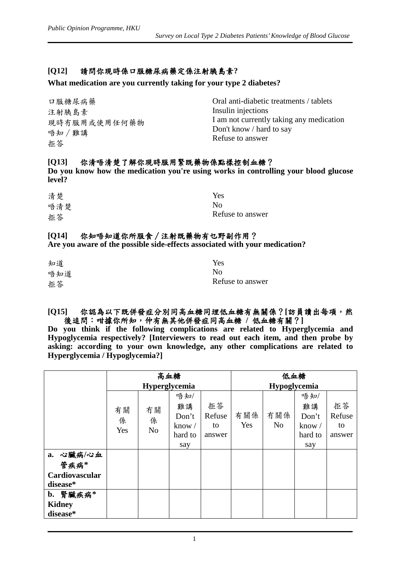#### **[Q12]** 請問你現時係口服糖尿病藥定係注射胰島素**?**

#### **What medication are you currently taking for your type 2 diabetes?**

| 口服糖尿病藥                  | Oral anti-diabetic treatments / tablets                                                  |
|-------------------------|------------------------------------------------------------------------------------------|
| 注射胰島素                   | Insulin injections                                                                       |
| 現時冇服用或使用任何藥物<br>唔知 / 難講 | I am not currently taking any medication<br>Don't know / hard to say<br>Refuse to answer |
| 拒答                      |                                                                                          |

#### **[Q13]** 你清唔清楚了解你現時服用緊既藥物係點樣控制血糖?

**Do you know how the medication you're using works in controlling your blood glucose level?**

| 清楚  | Yes.             |
|-----|------------------|
| 唔清楚 | No.              |
| 拒答  | Refuse to answer |

#### **[Q14]** 你知唔知道你所服食∕注射既藥物有乜野副作用?

**Are you aware of the possible side-effects associated with your medication?**

| 知道  | Yes              |
|-----|------------------|
| 唔知道 | No               |
| 拒答  | Refuse to answer |

#### **[Q15]** 你認為以下既併發症分別同高血糖同埋低血糖有無關係?**[**訪員讀出每項,然 後追問:咁據你所知,仲有無其他併發症同高血糖 **/** 低血糖有關?**]**

**Do you think if the following complications are related to Hyperglycemia and Hypoglycemia respectively? [Interviewers to read out each item, and then probe by asking: according to your own knowledge, any other complications are related to Hyperglycemia / Hypoglycemia?]**

|                                     | 高血糖<br><b>Hyperglycemia</b> |                           |                                                  |                              | 低血糖<br><b>Hypoglycemia</b> |                       |                                                  |                              |
|-------------------------------------|-----------------------------|---------------------------|--------------------------------------------------|------------------------------|----------------------------|-----------------------|--------------------------------------------------|------------------------------|
| a. 心臟病/心血<br>管疾病*<br>Cardiovascular | 有關<br>係<br>Yes              | 冇關<br>係<br>N <sub>o</sub> | 唔知/<br>難講<br>Don't<br>know $/$<br>hard to<br>say | 拒答<br>Refuse<br>to<br>answer | 有關係<br>Yes                 | 冇關係<br>N <sub>o</sub> | 唔知/<br>難講<br>Don't<br>know $/$<br>hard to<br>say | 拒答<br>Refuse<br>to<br>answer |
| disease*<br>b. 腎臟疾病*                |                             |                           |                                                  |                              |                            |                       |                                                  |                              |
| <b>Kidney</b><br>disease*           |                             |                           |                                                  |                              |                            |                       |                                                  |                              |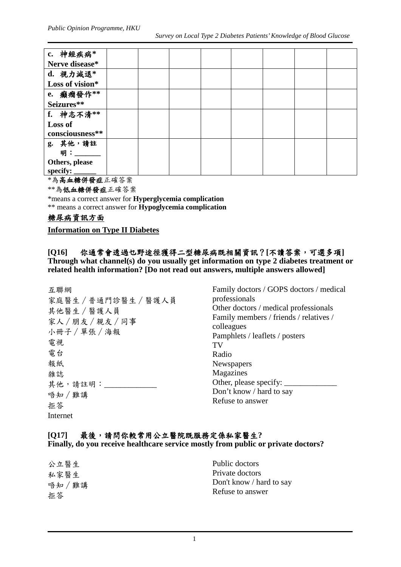| c. 神經疾病*        |  |  |  |  |
|-----------------|--|--|--|--|
| Nerve disease*  |  |  |  |  |
| d. 視力減退*        |  |  |  |  |
| Loss of vision* |  |  |  |  |
| e. 癲癇發作 **      |  |  |  |  |
| Seizures**      |  |  |  |  |
| f. 神志不清 **      |  |  |  |  |
| <b>Loss of</b>  |  |  |  |  |
| consciousness** |  |  |  |  |
| g. 其他,請註        |  |  |  |  |
| 明:              |  |  |  |  |
| Others, please  |  |  |  |  |
| specify:        |  |  |  |  |

\*為高血糖併發症正確答案

\*\*為低血糖併發症正確答案

\*means a correct answer for **Hyperglycemia complication** \*\* means a correct answer for **Hypoglycemia complication**

#### 糖尿病資訊方面

#### **Information on Type II Diabetes**

#### **[Q16]** 你通常會透過乜野途徑獲得二型糖尿病既相關資訊?**[**不讀答案,可選多項**] Through what channel(s) do you usually get information on type 2 diabetes treatment or related health information? [Do not read out answers, multiple answers allowed]**

| 互聯網                                                                       | Family doctors / GOPS doctors / medical                                                                                                                |  |  |  |
|---------------------------------------------------------------------------|--------------------------------------------------------------------------------------------------------------------------------------------------------|--|--|--|
| 家庭醫生 / 普通門診醫生 / 醫護人員<br>其他醫生 / 醫護人員<br>家人/朋友/親友/同事<br>小冊子 / 單張 / 海報<br>電視 | professionals<br>Other doctors / medical professionals<br>Family members / friends / relatives /<br>colleagues<br>Pamphlets / leaflets / posters<br>TV |  |  |  |
| 電台<br>報紙                                                                  | Radio<br><b>Newspapers</b>                                                                                                                             |  |  |  |
| 雜誌<br>其他,請註明: ____                                                        | Magazines<br>Other, please specify: _____<br>Don't know / hard to say                                                                                  |  |  |  |
| 唔知 / 難講<br>拒答                                                             | Refuse to answer                                                                                                                                       |  |  |  |
| Internet                                                                  |                                                                                                                                                        |  |  |  |

## **[Q17]** 最後,請問你較常用公立醫院既服務定係私家醫生**?**

**Finally, do you receive healthcare service mostly from public or private doctors?**

| 公立醫生    | Public doctors           |
|---------|--------------------------|
| 私家醫生    | Private doctors          |
| 唔知 / 難講 | Don't know / hard to say |
| 拒答      | Refuse to answer         |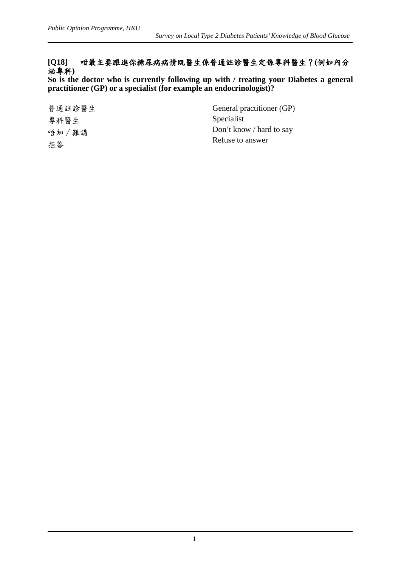#### **[Q18]** 咁最主要跟進你糖尿病病情既醫生係普通註診醫生定係專科醫生?**(**例如內分 泌專科**)**

**So is the doctor who is currently following up with / treating your Diabetes a general practitioner (GP) or a specialist (for example an endocrinologist)?**

普通註診醫生 專科醫生 唔知∕難講 拒答 General practitioner (GP) Specialist Don't know / hard to say Refuse to answer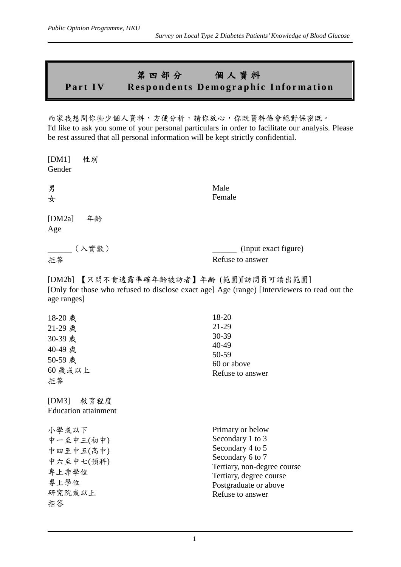# 第四部分個人資料 **Part I V Respondents Demographic Informa tion**

而家我想問你些少個人資料,方便分析,請你放心,你既資料係會絕對保密既。 I'd like to ask you some of your personal particulars in order to facilitate our analysis. Please be rest assured that all personal information will be kept strictly confidential.

[DM1] 性別 Gender 男 女 Male Female [DM2a] 年齡 Age \_\_\_(入實數) 拒答 (Input exact figure) Refuse to answer [DM2b] 【只問不肯透露準確年齡被訪者】年齡 (範圍)[訪問員可讀出範圍] [Only for those who refused to disclose exact age] Age (range) [Interviewers to read out the age ranges] 18-20 歲 21-29 歲 30-39 歲 40-49 歲 50-59 歲 60 歲或以上 拒答 18-20 21-29 30-39 40-49 50-59 60 or above Refuse to answer [DM3] 教育程度 Education attainment 小學或以下 中一至中三(初中) 中四至中五(高中) 中六至中七(預科) 專上非學位 專上學位 研究院或以上 拒答 Primary or below Secondary 1 to 3 Secondary 4 to 5 Secondary 6 to 7 Tertiary, non-degree course Tertiary, degree course Postgraduate or above Refuse to answer